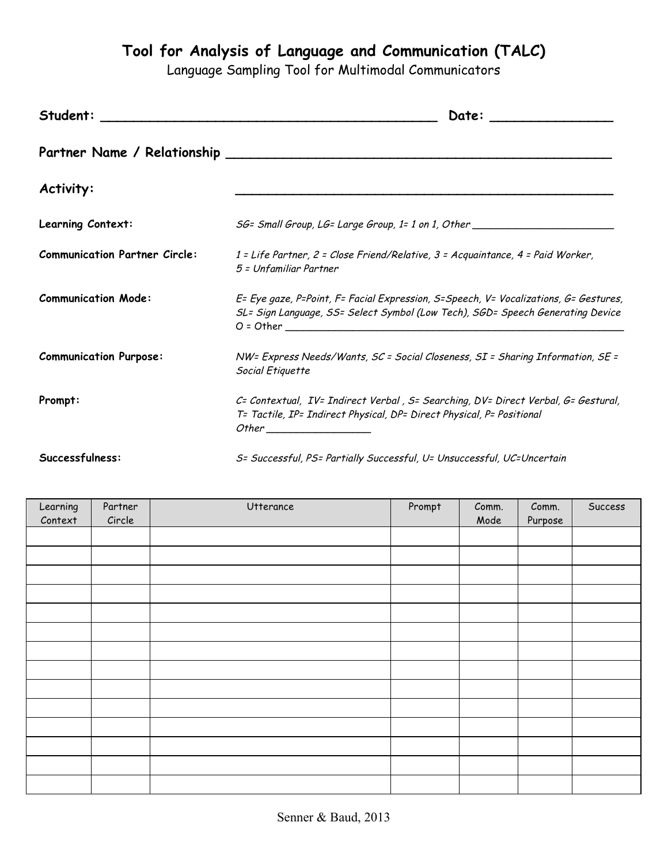**Tool for Analysis of Language and Communication (TALC)**

Language Sampling Tool for Multimodal Communicators

| Student:                             | Date:                                                                                                                                                                  |
|--------------------------------------|------------------------------------------------------------------------------------------------------------------------------------------------------------------------|
|                                      |                                                                                                                                                                        |
| Activity:                            |                                                                                                                                                                        |
| Learning Context:                    | SG= Small Group, LG= Large Group, 1= 1 on 1, Other                                                                                                                     |
| <b>Communication Partner Circle:</b> | 1 = Life Partner, 2 = Close Friend/Relative, 3 = Acquaintance, 4 = Paid Worker,<br>5 = Unfamiliar Partner                                                              |
| <b>Communication Mode:</b>           | E= Eye gaze, P=Point, F= Facial Expression, S=Speech, V= Vocalizations, G= Gestures,<br>SL= Sign Language, SS= Select Symbol (Low Tech), SGD= Speech Generating Device |
| <b>Communication Purpose:</b>        | NW= Express Needs/Wants, SC = Social Closeness, SI = Sharing Information, SE =<br>Social Etiquette                                                                     |
| Prompt:                              | C= Contextual, IV= Indirect Verbal, S= Searching, DV= Direct Verbal, G= Gestural,<br>T= Tactile, IP= Indirect Physical, DP= Direct Physical, P= Positional             |
| Successfulness:                      | S= Successful, PS= Partially Successful, U= Unsuccessful, UC=Uncertain                                                                                                 |

| J- Juccess jul, rJ- rurnally Juccess jul, U- Unsuccess jul, UC-Uncertain |  |
|--------------------------------------------------------------------------|--|
|                                                                          |  |
|                                                                          |  |

| Learning | Partner | Utterance | Prompt | Comm. | Comm.   | Success |
|----------|---------|-----------|--------|-------|---------|---------|
| Context  | Circle  |           |        | Mode  | Purpose |         |
|          |         |           |        |       |         |         |
|          |         |           |        |       |         |         |
|          |         |           |        |       |         |         |
|          |         |           |        |       |         |         |
|          |         |           |        |       |         |         |
|          |         |           |        |       |         |         |
|          |         |           |        |       |         |         |
|          |         |           |        |       |         |         |
|          |         |           |        |       |         |         |
|          |         |           |        |       |         |         |
|          |         |           |        |       |         |         |
|          |         |           |        |       |         |         |
|          |         |           |        |       |         |         |
|          |         |           |        |       |         |         |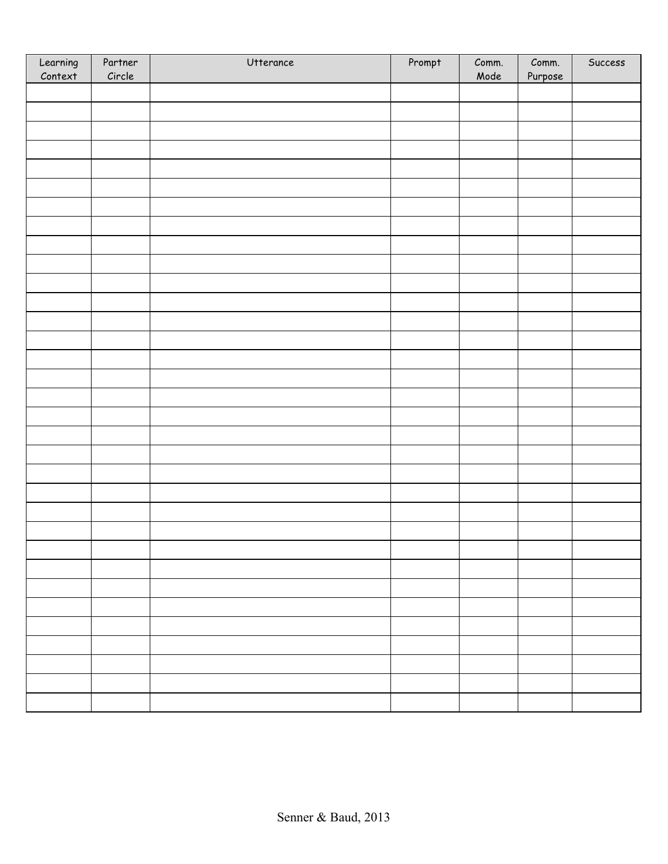| Learning<br>Context | Partner<br>Circle | Utterance | Prompt | Comm.<br>Mode | Comm.<br>Purpose | Success |
|---------------------|-------------------|-----------|--------|---------------|------------------|---------|
|                     |                   |           |        |               |                  |         |
|                     |                   |           |        |               |                  |         |
|                     |                   |           |        |               |                  |         |
|                     |                   |           |        |               |                  |         |
|                     |                   |           |        |               |                  |         |
|                     |                   |           |        |               |                  |         |
|                     |                   |           |        |               |                  |         |
|                     |                   |           |        |               |                  |         |
|                     |                   |           |        |               |                  |         |
|                     |                   |           |        |               |                  |         |
|                     |                   |           |        |               |                  |         |
|                     |                   |           |        |               |                  |         |
|                     |                   |           |        |               |                  |         |
|                     |                   |           |        |               |                  |         |
|                     |                   |           |        |               |                  |         |
|                     |                   |           |        |               |                  |         |
|                     |                   |           |        |               |                  |         |
|                     |                   |           |        |               |                  |         |
|                     |                   |           |        |               |                  |         |
|                     |                   |           |        |               |                  |         |
|                     |                   |           |        |               |                  |         |
|                     |                   |           |        |               |                  |         |
|                     |                   |           |        |               |                  |         |
|                     |                   |           |        |               |                  |         |
|                     |                   |           |        |               |                  |         |
|                     |                   |           |        |               |                  |         |
|                     |                   |           |        |               |                  |         |
|                     |                   |           |        |               |                  |         |
|                     |                   |           |        |               |                  |         |
|                     |                   |           |        |               |                  |         |
|                     |                   |           |        |               |                  |         |
|                     |                   |           |        |               |                  |         |
|                     |                   |           |        |               |                  |         |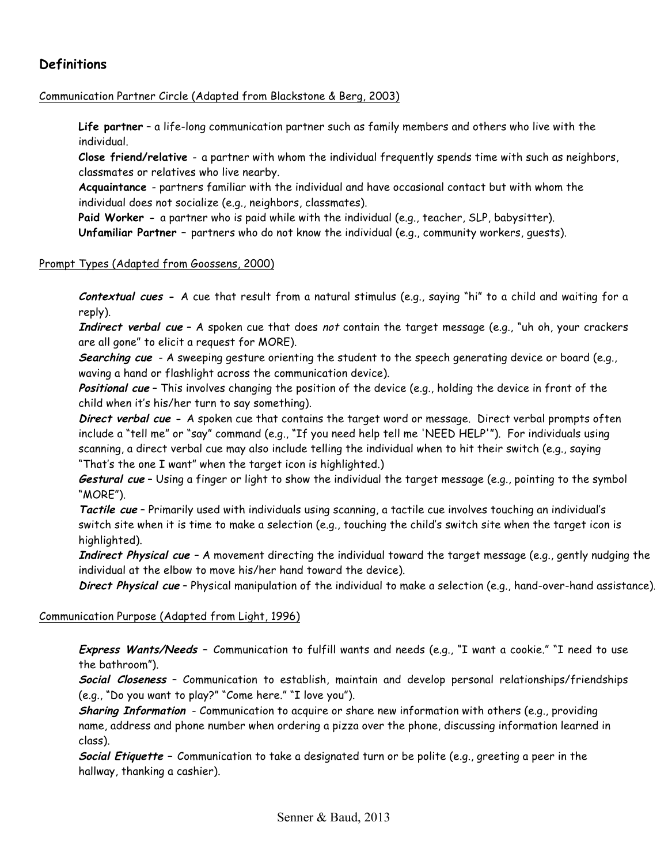# **Definitions**

#### Communication Partner Circle (Adapted from Blackstone & Berg, 2003)

**Life partner** – a life-long communication partner such as family members and others who live with the individual.

**Close friend/relative** - a partner with whom the individual frequently spends time with such as neighbors, classmates or relatives who live nearby.

**Acquaintance** - partners familiar with the individual and have occasional contact but with whom the individual does not socialize (e.g., neighbors, classmates).

**Paid Worker -** a partner who is paid while with the individual (e.g., teacher, SLP, babysitter). **Unfamiliar Partner –** partners who do not know the individual (e.g., community workers, guests).

#### Prompt Types (Adapted from Goossens, 2000)

**Contextual cues -** A cue that result from a natural stimulus (e.g., saying "hi" to a child and waiting for a reply).

**Indirect verbal cue** – A spoken cue that does not contain the target message (e.g., "uh oh, your crackers are all gone" to elicit a request for MORE).

**Searching cue** - A sweeping gesture orienting the student to the speech generating device or board (e.g., waving a hand or flashlight across the communication device).

**Positional cue** – This involves changing the position of the device (e.g., holding the device in front of the child when it's his/her turn to say something).

**Direct verbal cue -** A spoken cue that contains the target word or message. Direct verbal prompts often include a "tell me" or "say" command (e.g., "If you need help tell me 'NEED HELP'"). For individuals using scanning, a direct verbal cue may also include telling the individual when to hit their switch (e.g., saying "That's the one I want" when the target icon is highlighted.)

**Gestural cue** – Using a finger or light to show the individual the target message (e.g., pointing to the symbol "MORE").

**Tactile cue** – Primarily used with individuals using scanning, a tactile cue involves touching an individual's switch site when it is time to make a selection (e.g., touching the child's switch site when the target icon is highlighted).

**Indirect Physical cue** – A movement directing the individual toward the target message (e.g., gently nudging the individual at the elbow to move his/her hand toward the device).

**Direct Physical cue** – Physical manipulation of the individual to make a selection (e.g., hand-over-hand assistance).

#### Communication Purpose (Adapted from Light, 1996)

**Express Wants/Needs –** Communication to fulfill wants and needs (e.g., "I want a cookie." "I need to use the bathroom").

**Social Closeness** – Communication to establish, maintain and develop personal relationships/friendships (e.g., "Do you want to play?" "Come here." "I love you").

**Sharing Information** - Communication to acquire or share new information with others (e.g., providing name, address and phone number when ordering a pizza over the phone, discussing information learned in class).

**Social Etiquette –** Communication to take a designated turn or be polite (e.g., greeting a peer in the hallway, thanking a cashier).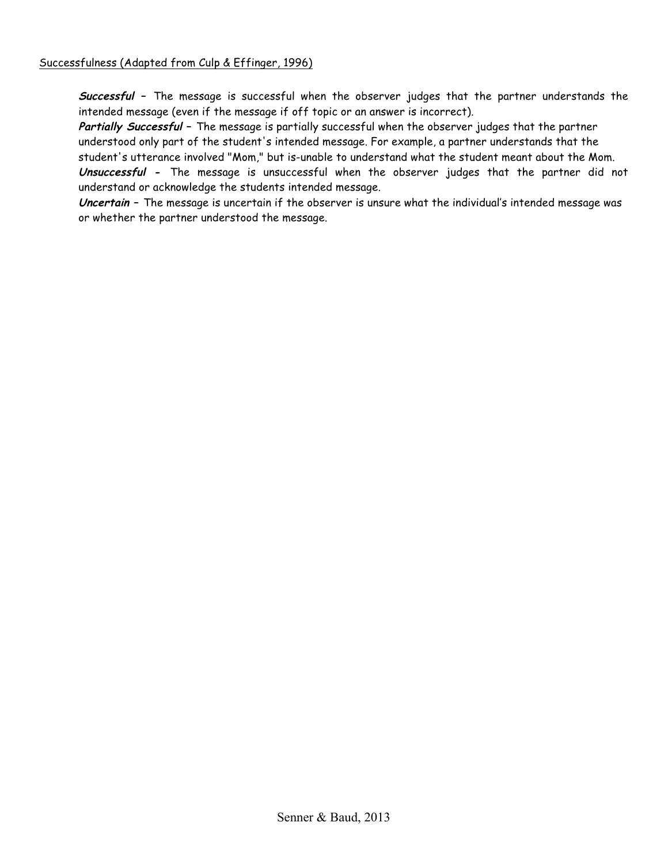**Successful –** The message is successful when the observer judges that the partner understands the intended message (even if the message if off topic or an answer is incorrect).

**Partially Successful –** The message is partially successful when the observer judges that the partner understood only part of the student's intended message. For example, a partner understands that the student's utterance involved "Mom," but is-unable to understand what the student meant about the Mom. **Unsuccessful -** The message is unsuccessful when the observer judges that the partner did not understand or acknowledge the students intended message.

**Uncertain –** The message is uncertain if the observer is unsure what the individual's intended message was or whether the partner understood the message.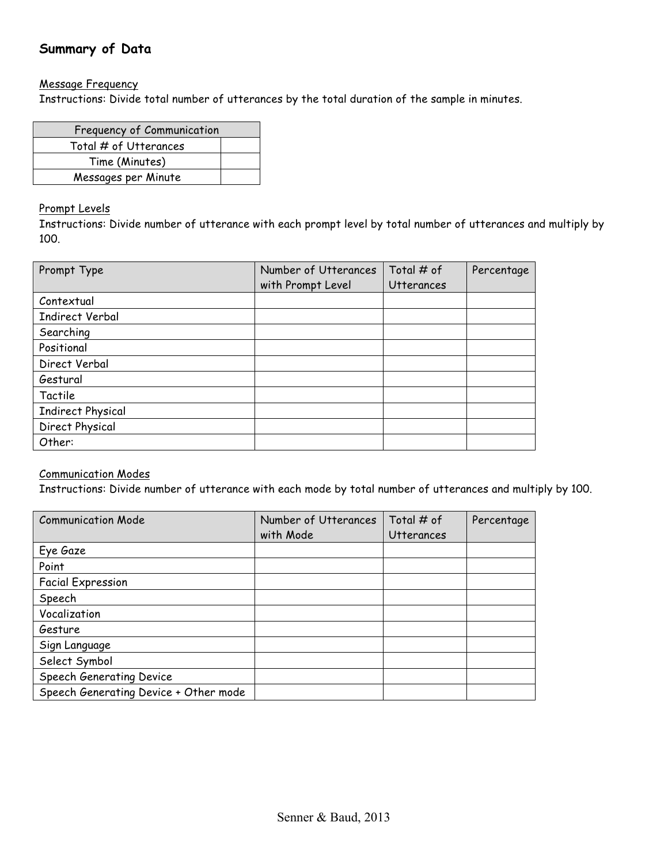# **Summary of Data**

#### Message Frequency

Instructions: Divide total number of utterances by the total duration of the sample in minutes.

| Frequency of Communication |  |
|----------------------------|--|
| Total # of Utterances      |  |
| Time (Minutes)             |  |
| Messages per Minute        |  |

#### Prompt Levels

Instructions: Divide number of utterance with each prompt level by total number of utterances and multiply by 100.

| Prompt Type              | Number of Utterances | Total # of        | Percentage |
|--------------------------|----------------------|-------------------|------------|
|                          | with Prompt Level    | <b>Utterances</b> |            |
| Contextual               |                      |                   |            |
| <b>Indirect Verbal</b>   |                      |                   |            |
| Searching                |                      |                   |            |
| Positional               |                      |                   |            |
| Direct Verbal            |                      |                   |            |
| Gestural                 |                      |                   |            |
| Tactile                  |                      |                   |            |
| <b>Indirect Physical</b> |                      |                   |            |
| Direct Physical          |                      |                   |            |
| Other:                   |                      |                   |            |

### Communication Modes

Instructions: Divide number of utterance with each mode by total number of utterances and multiply by 100.

| <b>Communication Mode</b>             | Number of Utterances | Total $#$ of      | Percentage |
|---------------------------------------|----------------------|-------------------|------------|
|                                       | with Mode            | <b>Utterances</b> |            |
| Eye Gaze                              |                      |                   |            |
| Point                                 |                      |                   |            |
| <b>Facial Expression</b>              |                      |                   |            |
| Speech                                |                      |                   |            |
| Vocalization                          |                      |                   |            |
| Gesture                               |                      |                   |            |
| Sign Language                         |                      |                   |            |
| Select Symbol                         |                      |                   |            |
| Speech Generating Device              |                      |                   |            |
| Speech Generating Device + Other mode |                      |                   |            |